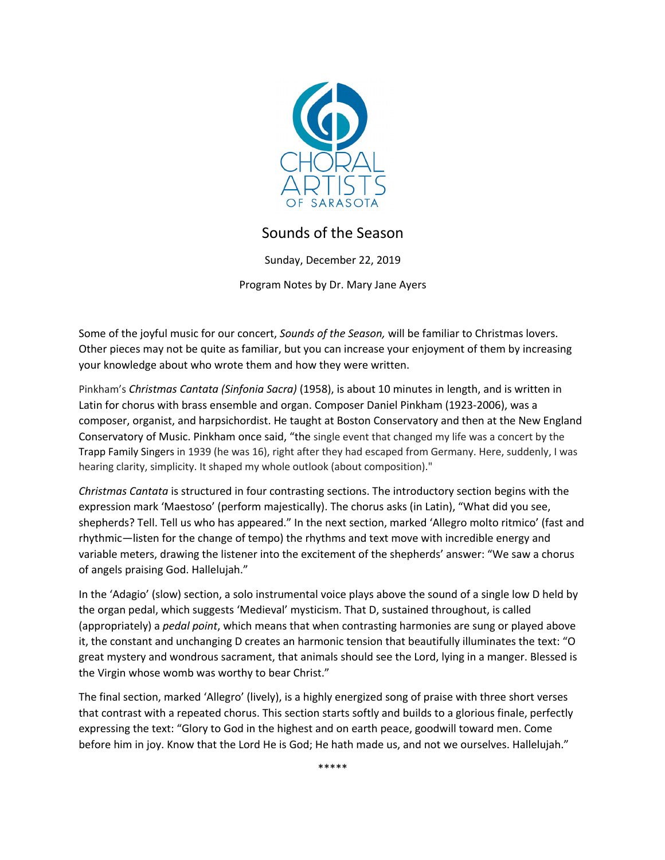

## Sounds of the Season

Sunday, December 22, 2019

Program Notes by Dr. Mary Jane Ayers

Some of the joyful music for our concert, *Sounds of the Season,* will be familiar to Christmas lovers. Other pieces may not be quite as familiar, but you can increase your enjoyment of them by increasing your knowledge about who wrote them and how they were written.

Pinkham's *Christmas Cantata (Sinfonia Sacra)* (1958), is about 10 minutes in length, and is written in Latin for chorus with brass ensemble and organ. Composer Daniel Pinkham (1923-2006), was a composer, organist, and harpsichordist. He taught at Boston Conservatory and then at the New England Conservatory of Music. Pinkham once said, "the single event that changed my life was a concert by the Trapp Family Singers in 1939 (he was 16), right after they had escaped from Germany. Here, suddenly, I was hearing clarity, simplicity. It shaped my whole outlook (about composition)."

*Christmas Cantata* is structured in four contrasting sections. The introductory section begins with the expression mark 'Maestoso' (perform majestically). The chorus asks (in Latin), "What did you see, shepherds? Tell. Tell us who has appeared." In the next section, marked 'Allegro molto ritmico' (fast and rhythmic—listen for the change of tempo) the rhythms and text move with incredible energy and variable meters, drawing the listener into the excitement of the shepherds' answer: "We saw a chorus of angels praising God. Hallelujah."

In the 'Adagio' (slow) section, a solo instrumental voice plays above the sound of a single low D held by the organ pedal, which suggests 'Medieval' mysticism. That D, sustained throughout, is called (appropriately) a *pedal point*, which means that when contrasting harmonies are sung or played above it, the constant and unchanging D creates an harmonic tension that beautifully illuminates the text: "O great mystery and wondrous sacrament, that animals should see the Lord, lying in a manger. Blessed is the Virgin whose womb was worthy to bear Christ."

The final section, marked 'Allegro' (lively), is a highly energized song of praise with three short verses that contrast with a repeated chorus. This section starts softly and builds to a glorious finale, perfectly expressing the text: "Glory to God in the highest and on earth peace, goodwill toward men. Come before him in joy. Know that the Lord He is God; He hath made us, and not we ourselves. Hallelujah."

\*\*\*\*\*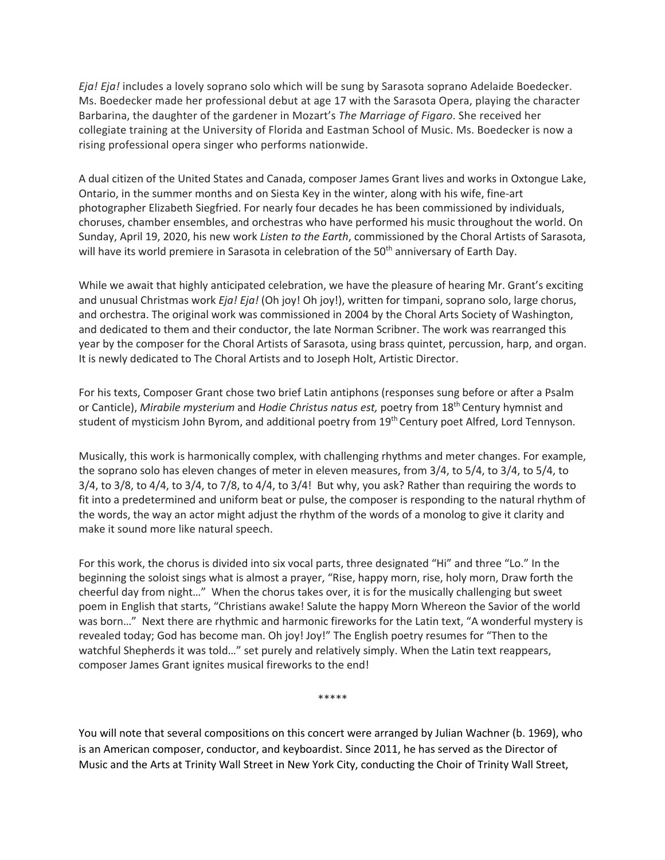*Eja! Eja!* includes a lovely soprano solo which will be sung by Sarasota soprano Adelaide Boedecker. Ms. Boedecker made her professional debut at age 17 with the Sarasota Opera, playing the character Barbarina, the daughter of the gardener in Mozart's *The Marriage of Figaro*. She received her collegiate training at the University of Florida and Eastman School of Music. Ms. Boedecker is now a rising professional opera singer who performs nationwide.

A dual citizen of the United States and Canada, composer James Grant lives and works in Oxtongue Lake, Ontario, in the summer months and on Siesta Key in the winter, along with his wife, fine-art photographer Elizabeth Siegfried. For nearly four decades he has been commissioned by individuals, choruses, chamber ensembles, and orchestras who have performed his music throughout the world. On Sunday, April 19, 2020, his new work *Listen to the Earth*, commissioned by the Choral Artists of Sarasota, will have its world premiere in Sarasota in celebration of the 50<sup>th</sup> anniversary of Earth Day.

While we await that highly anticipated celebration, we have the pleasure of hearing Mr. Grant's exciting and unusual Christmas work *Eja! Eja!* (Oh joy! Oh joy!), written for timpani, soprano solo, large chorus, and orchestra. The original work was commissioned in 2004 by the Choral Arts Society of Washington, and dedicated to them and their conductor, the late Norman Scribner. The work was rearranged this year by the composer for the Choral Artists of Sarasota, using brass quintet, percussion, harp, and organ. It is newly dedicated to The Choral Artists and to Joseph Holt, Artistic Director.

For his texts, Composer Grant chose two brief Latin antiphons (responses sung before or after a Psalm or Canticle), *Mirabile mysterium* and *Hodie Christus natus est,* poetry from 18th Century hymnist and student of mysticism John Byrom, and additional poetry from 19<sup>th</sup> Century poet Alfred, Lord Tennyson.

Musically, this work is harmonically complex, with challenging rhythms and meter changes. For example, the soprano solo has eleven changes of meter in eleven measures, from 3/4, to 5/4, to 3/4, to 5/4, to 3/4, to 3/8, to 4/4, to 3/4, to 7/8, to 4/4, to 3/4! But why, you ask? Rather than requiring the words to fit into a predetermined and uniform beat or pulse, the composer is responding to the natural rhythm of the words, the way an actor might adjust the rhythm of the words of a monolog to give it clarity and make it sound more like natural speech.

For this work, the chorus is divided into six vocal parts, three designated "Hi" and three "Lo." In the beginning the soloist sings what is almost a prayer, "Rise, happy morn, rise, holy morn, Draw forth the cheerful day from night…" When the chorus takes over, it is for the musically challenging but sweet poem in English that starts, "Christians awake! Salute the happy Morn Whereon the Savior of the world was born..." Next there are rhythmic and harmonic fireworks for the Latin text, "A wonderful mystery is revealed today; God has become man. Oh joy! Joy!" The English poetry resumes for "Then to the watchful Shepherds it was told…" set purely and relatively simply. When the Latin text reappears, composer James Grant ignites musical fireworks to the end!

\*\*\*\*\*

You will note that several compositions on this concert were arranged by Julian Wachner (b. 1969), who is an American composer, conductor, and keyboardist. Since 2011, he has served as the Director of Music and the Arts at Trinity Wall Street in New York City, conducting the Choir of Trinity Wall Street,